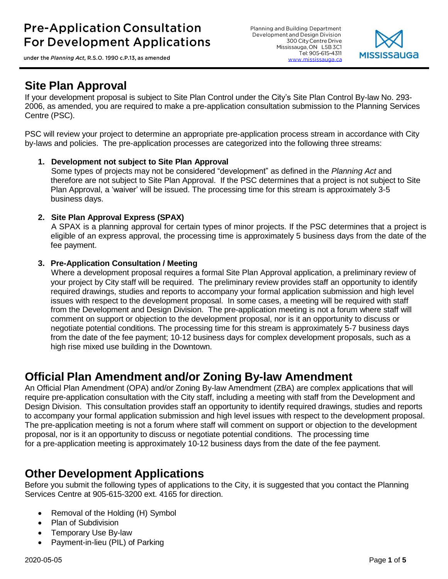under the Planning Act, R.S.O. 1990 c.P.13, as amended

Planning and Building Department Development and Design Division 300 City Centre Drive Mississauga, ON L5B 3C1 Tel: 905-615-4311 www.mississauga.ca



### **Site Plan Approval**

If your development proposal is subject to Site Plan Control under the City's Site Plan Control By-law No. 293- 2006, as amended, you are required to make a pre-application consultation submission to the Planning Services Centre (PSC).

PSC will review your project to determine an appropriate pre-application process stream in accordance with City by-laws and policies. The pre-application processes are categorized into the following three streams:

#### **1. Development not subject to Site Plan Approval**

Some types of projects may not be considered "development" as defined in the *Planning Act* and therefore are not subject to Site Plan Approval. If the PSC determines that a project is not subject to Site Plan Approval, a 'waiver' will be issued. The processing time for this stream is approximately 3-5 business days.

#### **2. Site Plan Approval Express (SPAX)**

A SPAX is a planning approval for certain types of minor projects. If the PSC determines that a project is eligible of an express approval, the processing time is approximately 5 business days from the date of the fee payment.

#### **3. Pre-Application Consultation / Meeting**

Where a development proposal requires a formal Site Plan Approval application, a preliminary review of your project by City staff will be required. The preliminary review provides staff an opportunity to identify required drawings, studies and reports to accompany your formal application submission and high level issues with respect to the development proposal. In some cases, a meeting will be required with staff from the Development and Design Division. The pre-application meeting is not a forum where staff will comment on support or objection to the development proposal, nor is it an opportunity to discuss or negotiate potential conditions. The processing time for this stream is approximately 5-7 business days from the date of the fee payment; 10-12 business days for complex development proposals, such as a high rise mixed use building in the Downtown.

### **Official Plan Amendment and/or Zoning By-law Amendment**

An Official Plan Amendment (OPA) and/or Zoning By-law Amendment (ZBA) are complex applications that will require pre-application consultation with the City staff, including a meeting with staff from the Development and Design Division. This consultation provides staff an opportunity to identify required drawings, studies and reports to accompany your formal application submission and high level issues with respect to the development proposal. The pre-application meeting is not a forum where staff will comment on support or objection to the development proposal, nor is it an opportunity to discuss or negotiate potential conditions. The processing time for a pre-application meeting is approximately 10-12 business days from the date of the fee payment.

### **Other Development Applications**

Before you submit the following types of applications to the City, it is suggested that you contact the Planning Services Centre at 905-615-3200 ext. 4165 for direction.

- Removal of the Holding (H) Symbol
- Plan of Subdivision
- Temporary Use By-law
- Payment-in-lieu (PIL) of Parking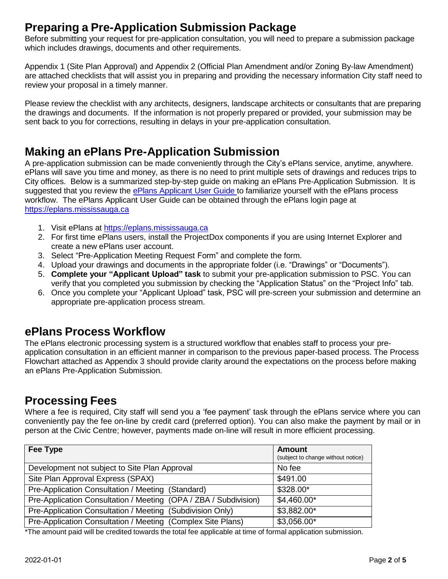# **Preparing a Pre-Application Submission Package**

Before submitting your request for pre-application consultation, you will need to prepare a submission package which includes drawings, documents and other requirements.

Appendix 1 (Site Plan Approval) and Appendix 2 (Official Plan Amendment and/or Zoning By-law Amendment) are attached checklists that will assist you in preparing and providing the necessary information City staff need to review your proposal in a timely manner.

Please review the checklist with any architects, designers, landscape architects or consultants that are preparing the drawings and documents. If the information is not properly prepared or provided, your submission may be sent back to you for corrections, resulting in delays in your pre-application consultation.

# **Making an ePlans Pre-Application Submission**

A pre-application submission can be made conveniently through the City's ePlans service, anytime, anywhere. ePlans will save you time and money, as there is no need to print multiple sets of drawings and reduces trips to City offices. Below is a summarized step-by-step guide on making an ePlans Pre-Application Submission. It is suggested that you review the [ePlans Applicant User Guide t](http://www7.mississauga.ca/Departments/PB/ePlans/Applicant%20Guide%20-%20PAM%20%26%20SPA.pdf)o familiarize yourself with the ePlans process workflow. The ePlans Applicant User Guide can be obtained through the ePlans login page at [https://eplans.mississauga.ca](https://eplans.mississauga.ca/)

- 1. Visit ePlans at [https://eplans.mississauga.ca](https://eplans.mississauga.ca/)
- 2. For first time ePlans users, install the ProjectDox components if you are using Internet Explorer and create a new ePlans user account.
- 3. Select "Pre-Application Meeting Request Form" and complete the form.
- 4. Upload your drawings and documents in the appropriate folder (i.e. "Drawings" or "Documents").
- 5. **Complete your "Applicant Upload" task** to submit your pre-application submission to PSC. You can verify that you completed you submission by checking the "Application Status" on the "Project Info" tab.
- 6. Once you complete your "Applicant Upload" task, PSC will pre-screen your submission and determine an appropriate pre-application process stream.

### **ePlans Process Workflow**

The ePlans electronic processing system is a structured workflow that enables staff to process your preapplication consultation in an efficient manner in comparison to the previous paper-based process. The Process Flowchart attached as Appendix 3 should provide clarity around the expectations on the process before making an ePlans Pre-Application Submission.

# **Processing Fees**

Where a fee is required, City staff will send you a 'fee payment' task through the ePlans service where you can conveniently pay the fee on-line by credit card (preferred option). You can also make the payment by mail or in person at the Civic Centre; however, payments made on-line will result in more efficient processing.

| Fee Type                                                         | <b>Amount</b><br>(subject to change without notice) |
|------------------------------------------------------------------|-----------------------------------------------------|
| Development not subject to Site Plan Approval                    | No fee                                              |
| Site Plan Approval Express (SPAX)                                | \$491.00                                            |
| Pre-Application Consultation / Meeting (Standard)                | \$328.00*                                           |
| Pre-Application Consultation / Meeting (OPA / ZBA / Subdivision) | $$4,460.00*$                                        |
| Pre-Application Consultation / Meeting (Subdivision Only)        | \$3,882.00*                                         |
| Pre-Application Consultation / Meeting (Complex Site Plans)      | \$3,056.00*                                         |

\*The amount paid will be credited towards the total fee applicable at time of formal application submission.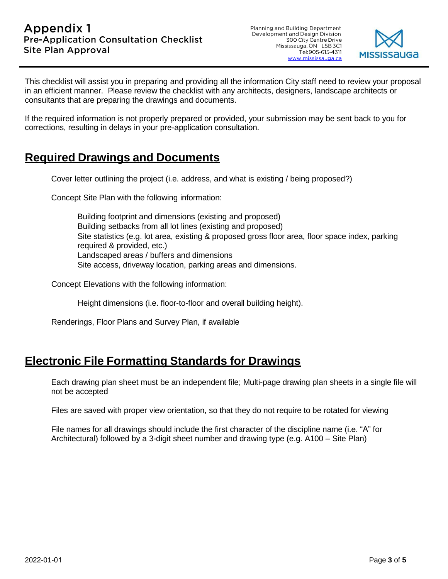Planning and Building Department Development and Design Division 300 City Centre Drive Mississauga, ON L5B 3C1 Tel: 905-615-4311 www.mississauga.ca



This checklist will assist you in preparing and providing all the information City staff need to review your proposal in an efficient manner. Please review the checklist with any architects, designers, landscape architects or consultants that are preparing the drawings and documents.

If the required information is not properly prepared or provided, your submission may be sent back to you for corrections, resulting in delays in your pre-application consultation.

#### **Required Drawings and Documents**

Cover letter outlining the project (i.e. address, and what is existing / being proposed?)

Concept Site Plan with the following information:

Building footprint and dimensions (existing and proposed) Building setbacks from all lot lines (existing and proposed) Site statistics (e.g. lot area, existing & proposed gross floor area, floor space index, parking required & provided, etc.) Landscaped areas / buffers and dimensions Site access, driveway location, parking areas and dimensions.

Concept Elevations with the following information:

Height dimensions (i.e. floor-to-floor and overall building height).

Renderings, Floor Plans and Survey Plan, if available

# **Electronic File Formatting Standards for Drawings**

Each drawing plan sheet must be an independent file; Multi-page drawing plan sheets in a single file will not be accepted

Files are saved with proper view orientation, so that they do not require to be rotated for viewing

File names for all drawings should include the first character of the discipline name (i.e. "A" for Architectural) followed by a 3-digit sheet number and drawing type (e.g. A100 – Site Plan)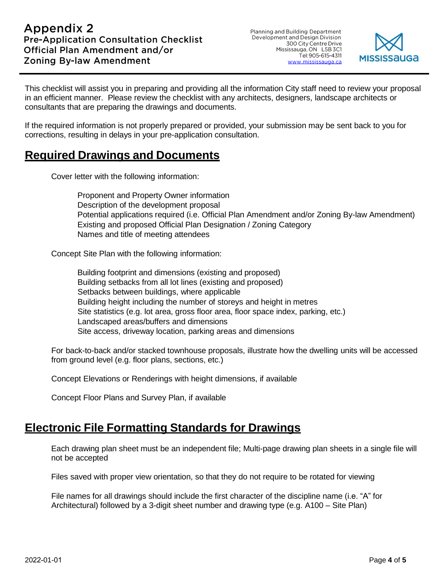Planning and Building Department<br>Development and Design Division 300 City Centre Drive Mississauga, ON L5B 3C1 Tel: 905-615-4311 www.mississauga.ca



This checklist will assist you in preparing and providing all the information City staff need to review your proposal in an efficient manner. Please review the checklist with any architects, designers, landscape architects or consultants that are preparing the drawings and documents.

If the required information is not properly prepared or provided, your submission may be sent back to you for corrections, resulting in delays in your pre-application consultation.

#### **Required Drawings and Documents**

Cover letter with the following information:

Proponent and Property Owner information Description of the development proposal Potential applications required (i.e. Official Plan Amendment and/or Zoning By-law Amendment) Existing and proposed Official Plan Designation / Zoning Category Names and title of meeting attendees

Concept Site Plan with the following information:

Building footprint and dimensions (existing and proposed) Building setbacks from all lot lines (existing and proposed) Setbacks between buildings, where applicable Building height including the number of storeys and height in metres Site statistics (e.g. lot area, gross floor area, floor space index, parking, etc.) Landscaped areas/buffers and dimensions Site access, driveway location, parking areas and dimensions

For back-to-back and/or stacked townhouse proposals, illustrate how the dwelling units will be accessed from ground level (e.g. floor plans, sections, etc.)

Concept Elevations or Renderings with height dimensions, if available

Concept Floor Plans and Survey Plan, if available

### **Electronic File Formatting Standards for Drawings**

Each drawing plan sheet must be an independent file; Multi-page drawing plan sheets in a single file will not be accepted

Files saved with proper view orientation, so that they do not require to be rotated for viewing

File names for all drawings should include the first character of the discipline name (i.e. "A" for Architectural) followed by a 3-digit sheet number and drawing type (e.g. A100 – Site Plan)